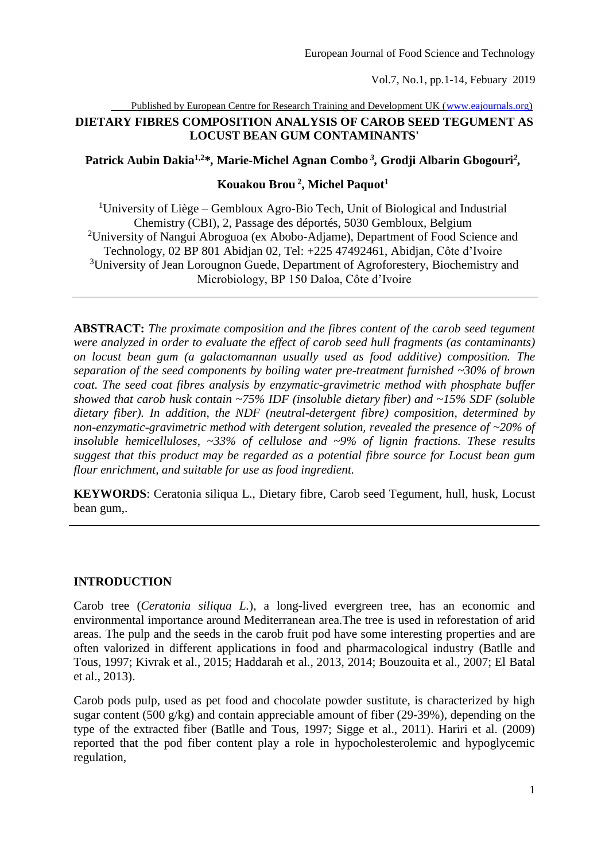Published by European Centre for Research Training and Development UK [\(www.eajournals.org\)](http://www.eajournals.org/)

# **DIETARY FIBRES COMPOSITION ANALYSIS OF CAROB SEED TEGUMENT AS LOCUST BEAN GUM CONTAMINANTS'**

**Patrick Aubin Dakia1,2\****,* **Marie-Michel Agnan Combo** *<sup>3</sup> ,* **Grodji Albarin Gbogouri***<sup>2</sup> ,*

# **Kouakou Brou <sup>2</sup> , Michel Paquot<sup>1</sup>**

<sup>1</sup>University of Liège – Gembloux Agro-Bio Tech, Unit of Biological and Industrial Chemistry (CBI), 2, Passage des déportés, 5030 Gembloux, Belgium <sup>2</sup>University of Nangui Abroguoa (ex Abobo-Adjame), Department of Food Science and Technology, 02 BP 801 Abidjan 02, Tel: +225 47492461, Abidjan, Côte d'Ivoire <sup>3</sup>University of Jean Lorougnon Guede, Department of Agroforestery, Biochemistry and Microbiology, BP 150 Daloa, Côte d'Ivoire

**ABSTRACT:** *The proximate composition and the fibres content of the carob seed tegument were analyzed in order to evaluate the effect of carob seed hull fragments (as contaminants) on locust bean gum (a galactomannan usually used as food additive) composition. The separation of the seed components by boiling water pre-treatment furnished ~30% of brown coat. The seed coat fibres analysis by enzymatic-gravimetric method with phosphate buffer showed that carob husk contain ~75% IDF (insoluble dietary fiber) and ~15% SDF (soluble dietary fiber). In addition, the NDF (neutral-detergent fibre) composition, determined by non-enzymatic-gravimetric method with detergent solution, revealed the presence of ~20% of insoluble hemicelluloses, ~33% of cellulose and ~9% of lignin fractions. These results suggest that this product may be regarded as a potential fibre source for Locust bean gum flour enrichment, and suitable for use as food ingredient.* 

**KEYWORDS**: Ceratonia siliqua L., Dietary fibre, Carob seed Tegument, hull, husk, Locust bean gum,.

# **INTRODUCTION**

Carob tree (*Ceratonia siliqua L.*), a long-lived evergreen tree, has an economic and environmental importance around Mediterranean area.The tree is used in reforestation of arid areas. The pulp and the seeds in the carob fruit pod have some interesting properties and are often valorized in different applications in food and pharmacological industry (Batlle and Tous, 1997; Kivrak et al., 2015; Haddarah et al., 2013, 2014; Bouzouita et al., 2007; El Batal et al., 2013).

Carob pods pulp, used as pet food and chocolate powder sustitute, is characterized by high sugar content (500 g/kg) and contain appreciable amount of fiber (29-39%), depending on the type of the extracted fiber (Batlle and Tous, 1997; Sigge et al., 2011). Hariri et al. (2009) reported that the pod fiber content play a role in hypocholesterolemic and hypoglycemic regulation,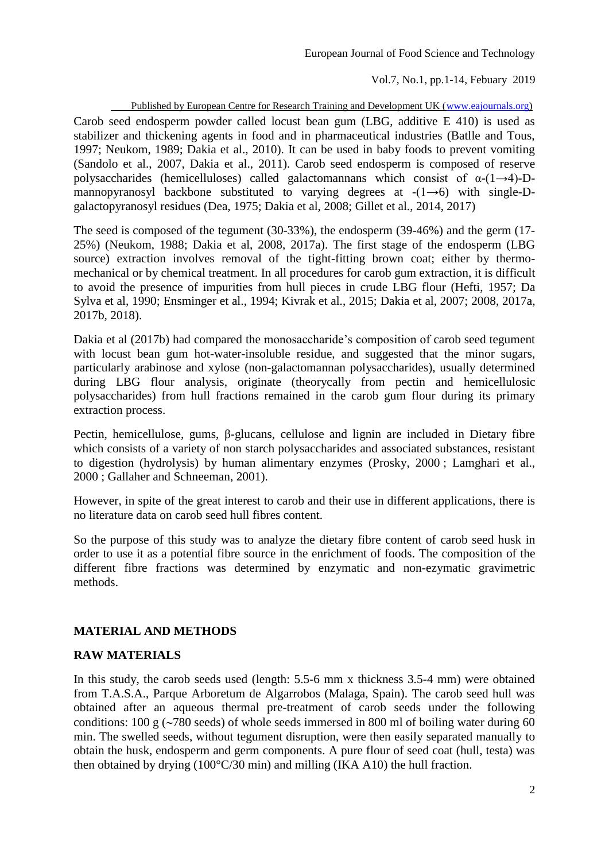Published by European Centre for Research Training and Development UK [\(www.eajournals.org\)](http://www.eajournals.org/) Carob seed endosperm powder called locust bean gum (LBG, additive E 410) is used as stabilizer and thickening agents in food and in pharmaceutical industries (Batlle and Tous, 1997; Neukom, 1989; Dakia et al., 2010). It can be used in baby foods to prevent vomiting (Sandolo et al., 2007, Dakia et al., 2011). Carob seed endosperm is composed of reserve polysaccharides (hemicelluloses) called galactomannans which consist of  $\alpha$ -(1→4)-Dmannopyranosyl backbone substituted to varying degrees at  $-(1\rightarrow 6)$  with single-Dgalactopyranosyl residues (Dea, 1975; Dakia et al, 2008; Gillet et al., 2014, 2017)

The seed is composed of the tegument (30-33%), the endosperm (39-46%) and the germ (17- 25%) (Neukom, 1988; Dakia et al, 2008, 2017a). The first stage of the endosperm (LBG source) extraction involves removal of the tight-fitting brown coat; either by thermomechanical or by chemical treatment. In all procedures for carob gum extraction, it is difficult to avoid the presence of impurities from hull pieces in crude LBG flour (Hefti, 1957; Da Sylva et al, 1990; Ensminger et al., 1994; Kivrak et al., 2015; Dakia et al, 2007; 2008, 2017a, 2017b, 2018).

Dakia et al (2017b) had compared the monosaccharide's composition of carob seed tegument with locust bean gum hot-water-insoluble residue, and suggested that the minor sugars, particularly arabinose and xylose (non-galactomannan polysaccharides), usually determined during LBG flour analysis, originate (theorycally from pectin and hemicellulosic polysaccharides) from hull fractions remained in the carob gum flour during its primary extraction process.

Pectin, hemicellulose, gums, β-glucans, cellulose and lignin are included in Dietary fibre which consists of a variety of non starch polysaccharides and associated substances, resistant to digestion (hydrolysis) by human alimentary enzymes (Prosky, 2000 ; [Lamghari et al.,](http://www.sciencedirect.com/science?_ob=ArticleURL&_udi=B6T6R-4DVW2C2-1&_user=532081&_coverDate=07%2F31%2F2005&_alid=654746576&_rdoc=2&_fmt=full&_orig=search&_cdi=5037&_sort=d&_docanchor=&view=c&_ct=2&_acct=C000026700&_version=1&_urlVersion=0&_userid=532081&md5=8d75043b60137f18f4ebc85db6b0d0b6#bib21#bib21)  [2000](http://www.sciencedirect.com/science?_ob=ArticleURL&_udi=B6T6R-4DVW2C2-1&_user=532081&_coverDate=07%2F31%2F2005&_alid=654746576&_rdoc=2&_fmt=full&_orig=search&_cdi=5037&_sort=d&_docanchor=&view=c&_ct=2&_acct=C000026700&_version=1&_urlVersion=0&_userid=532081&md5=8d75043b60137f18f4ebc85db6b0d0b6#bib21#bib21) ; Gallaher and Schneeman, 2001).

However, in spite of the great interest to carob and their use in different applications, there is no literature data on carob seed hull fibres content.

So the purpose of this study was to analyze the dietary fibre content of carob seed husk in order to use it as a potential fibre source in the enrichment of foods. The composition of the different fibre fractions was determined by enzymatic and non-ezymatic gravimetric methods.

# **MATERIAL AND METHODS**

#### **RAW MATERIALS**

In this study, the carob seeds used (length: 5.5-6 mm x thickness 3.5-4 mm) were obtained from T.A.S.A., Parque Arboretum de Algarrobos (Malaga, Spain). The carob seed hull was obtained after an aqueous thermal pre-treatment of carob seeds under the following conditions: 100 g ( $\sim$ 780 seeds) of whole seeds immersed in 800 ml of boiling water during 60 min. The swelled seeds, without tegument disruption, were then easily separated manually to obtain the husk, endosperm and germ components. A pure flour of seed coat (hull, testa) was then obtained by drying (100°C/30 min) and milling (IKA A10) the hull fraction.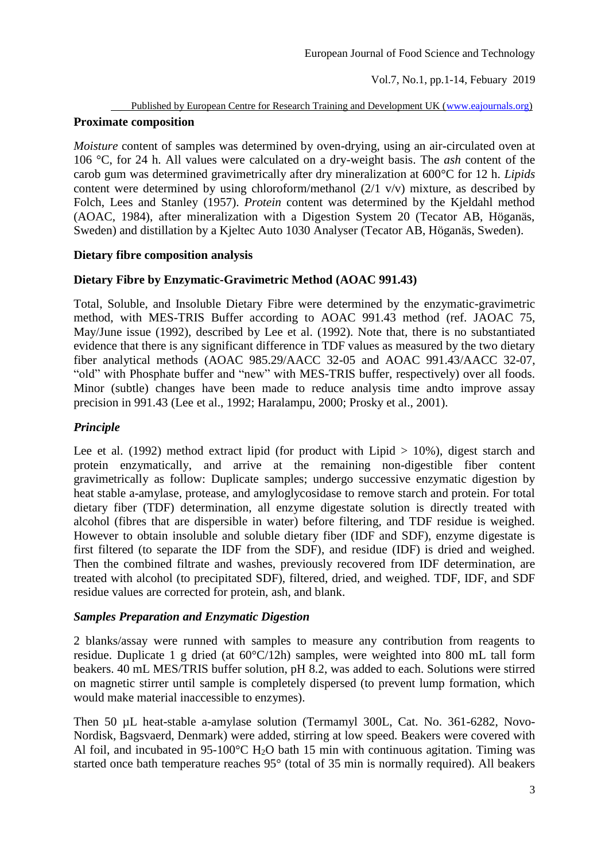# Published by European Centre for Research Training and Development UK [\(www.eajournals.org\)](http://www.eajournals.org/) **Proximate composition**

*Moisture* content of samples was determined by oven-drying, using an air-circulated oven at 106 °C, for 24 h. All values were calculated on a dry-weight basis. The *ash* content of the carob gum was determined gravimetrically after dry mineralization at 600°C for 12 h. *Lipids* content were determined by using chloroform/methanol (2/1 v/v) mixture, as described by Folch, Lees and Stanley (1957). *Protein* content was determined by the Kjeldahl method (AOAC, 1984), after mineralization with a Digestion System 20 (Tecator AB, Höganäs, Sweden) and distillation by a Kjeltec Auto 1030 Analyser (Tecator AB, Höganäs, Sweden).

# **Dietary fibre composition analysis**

# **Dietary Fibre by Enzymatic-Gravimetric Method (AOAC 991.43)**

Total, Soluble, and Insoluble Dietary Fibre were determined by the enzymatic-gravimetric method, with MES-TRIS Buffer according to AOAC 991.43 method (ref. JAOAC 75, May/June issue (1992), described by Lee et al. (1992). Note that, there is no substantiated evidence that there is any significant difference in TDF values as measured by the two dietary fiber analytical methods (AOAC 985.29/AACC 32-05 and AOAC 991.43/AACC 32-07, "old" with Phosphate buffer and "new" with MES-TRIS buffer, respectively) over all foods. Minor (subtle) changes have been made to reduce analysis time andto improve assay precision in 991.43 (Lee et al., 1992; [Haralampu,](http://www.sciencedirect.com/science?_ob=ArticleURL&_udi=B6TFD-419BG8J-H&_user=532081&_coverDate=01%2F31%2F2001&_alid=654664327&_rdoc=1&_fmt=full&_orig=search&_cdi=5224&_sort=d&_docanchor=&view=c&_ct=4&_acct=C000026700&_version=1&_urlVersion=0&_userid=532081&md5=d59154e06ae070f7a948e52947f0cdf0#bbib3#bbib3) 2000; Prosky et al., 2001).

# *Principle*

Lee et al. (1992) method extract lipid (for product with Lipid  $> 10\%$ ), digest starch and protein enzymatically, and arrive at the remaining non-digestible fiber content gravimetrically as follow: Duplicate samples; undergo successive enzymatic digestion by heat stable a-amylase, protease, and amyloglycosidase to remove starch and protein. For total dietary fiber (TDF) determination, all enzyme digestate solution is directly treated with alcohol (fibres that are dispersible in water) before filtering, and TDF residue is weighed. However to obtain insoluble and soluble dietary fiber (IDF and SDF), enzyme digestate is first filtered (to separate the IDF from the SDF), and residue (IDF) is dried and weighed. Then the combined filtrate and washes, previously recovered from IDF determination, are treated with alcohol (to precipitated SDF), filtered, dried, and weighed. TDF, IDF, and SDF residue values are corrected for protein, ash, and blank.

# *Samples Preparation and Enzymatic Digestion*

2 blanks/assay were runned with samples to measure any contribution from reagents to residue. Duplicate 1 g dried (at 60°C/12h) samples, were weighted into 800 mL tall form beakers. 40 mL MES/TRIS buffer solution, pH 8.2, was added to each. Solutions were stirred on magnetic stirrer until sample is completely dispersed (to prevent lump formation, which would make material inaccessible to enzymes).

Then 50 µL heat-stable a-amylase solution (Termamyl 300L, Cat. No. 361-6282, Novo-Nordisk, Bagsvaerd, Denmark) were added, stirring at low speed. Beakers were covered with Al foil, and incubated in 95-100 $\degree$ C H<sub>2</sub>O bath 15 min with continuous agitation. Timing was started once bath temperature reaches 95° (total of 35 min is normally required). All beakers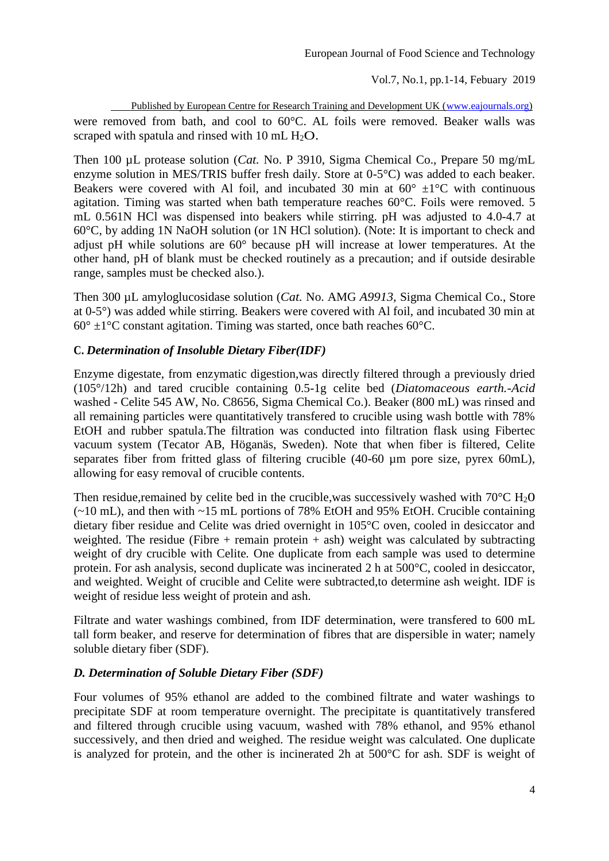Published by European Centre for Research Training and Development UK [\(www.eajournals.org\)](http://www.eajournals.org/) were removed from bath, and cool to 60°C. AL foils were removed. Beaker walls was scraped with spatula and rinsed with 10 mL  $H_2O$ .

Then 100 µL protease solution (*Cat.* No. P 3910, Sigma Chemical Co., Prepare 50 mg/mL enzyme solution in MES/TRIS buffer fresh daily. Store at 0-5°C) was added to each beaker. Beakers were covered with Al foil, and incubated 30 min at  $60^{\circ} \pm 1^{\circ}$ C with continuous agitation. Timing was started when bath temperature reaches 60°C. Foils were removed. 5 mL 0.561N HCl was dispensed into beakers while stirring. pH was adjusted to 4.0-4.7 at 60°C, by adding 1N NaOH solution (or 1N HCl solution). (Note: It is important to check and adjust pH while solutions are 60° because pH will increase at lower temperatures. At the other hand, pH of blank must be checked routinely as a precaution; and if outside desirable range, samples must be checked also.).

Then 300 µL amyloglucosidase solution (*Cat.* No. AMG *A9913,* Sigma Chemical Co., Store at 0-5°) was added while stirring. Beakers were covered with Al foil, and incubated 30 min at  $60^{\circ}$  ±1<sup>o</sup>C constant agitation. Timing was started, once bath reaches 60<sup>o</sup>C.

#### **C.** *Determination of Insoluble Dietary Fiber(IDF)*

Enzyme digestate, from enzymatic digestion,was directly filtered through a previously dried (105°/12h) and tared crucible containing 0.5-1g celite bed (*Diatomaceous earth.-Acid*  washed - Celite 545 AW, No. C8656, Sigma Chemical Co.). Beaker (800 mL) was rinsed and all remaining particles were quantitatively transfered to crucible using wash bottle with 78% EtOH and rubber spatula.The filtration was conducted into filtration flask using Fibertec vacuum system (Tecator AB, Höganäs, Sweden). Note that when fiber is filtered, Celite separates fiber from fritted glass of filtering crucible (40-60 µm pore size, pyrex 60mL), allowing for easy removal of crucible contents.

Then residue, remained by celite bed in the crucible, was successively washed with  $70^{\circ}$ C H<sub>2</sub>O (~10 mL), and then with ~15 mL portions of 78% EtOH and 95% EtOH. Crucible containing dietary fiber residue and Celite was dried overnight in 105°C oven, cooled in desiccator and weighted. The residue (Fibre + remain protein + ash) weight was calculated by subtracting weight of dry crucible with Celite*.* One duplicate from each sample was used to determine protein. For ash analysis, second duplicate was incinerated 2 h at 500°C, cooled in desiccator, and weighted. Weight of crucible and Celite were subtracted,to determine ash weight. IDF is weight of residue less weight of protein and ash.

Filtrate and water washings combined, from IDF determination, were transfered to 600 mL tall form beaker, and reserve for determination of fibres that are dispersible in water; namely soluble dietary fiber (SDF).

# *D. Determination of Soluble Dietary Fiber (SDF)*

Four volumes of 95% ethanol are added to the combined filtrate and water washings to precipitate SDF at room temperature overnight. The precipitate is quantitatively transfered and filtered through crucible using vacuum, washed with 78% ethanol, and 95% ethanol successively, and then dried and weighed. The residue weight was calculated. One duplicate is analyzed for protein, and the other is incinerated 2h at 500°C for ash. SDF is weight of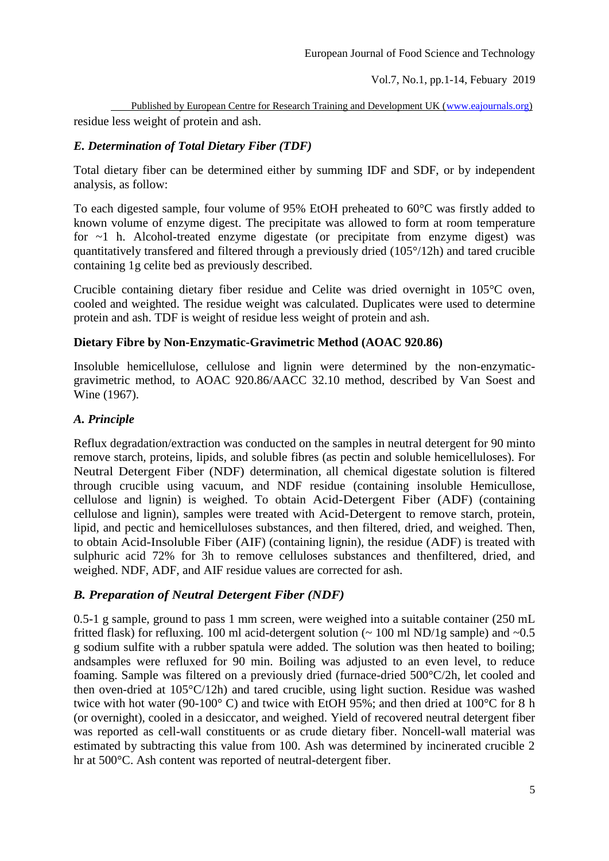Published by European Centre for Research Training and Development UK [\(www.eajournals.org\)](http://www.eajournals.org/) residue less weight of protein and ash.

# *E. Determination of Total Dietary Fiber (TDF)*

Total dietary fiber can be determined either by summing IDF and SDF, or by independent analysis, as follow:

To each digested sample, four volume of 95% EtOH preheated to 60°C was firstly added to known volume of enzyme digest. The precipitate was allowed to form at room temperature for ~1 h. Alcohol-treated enzyme digestate (or precipitate from enzyme digest) was quantitatively transfered and filtered through a previously dried (105°/12h) and tared crucible containing 1g celite bed as previously described.

Crucible containing dietary fiber residue and Celite was dried overnight in 105°C oven, cooled and weighted. The residue weight was calculated. Duplicates were used to determine protein and ash. TDF is weight of residue less weight of protein and ash.

#### **Dietary Fibre by Non-Enzymatic-Gravimetric Method (AOAC 920.86)**

Insoluble hemicellulose, cellulose and lignin were determined by the non-enzymaticgravimetric method, to AOAC 920.86/AACC 32.10 method, described by Van Soest and Wine (1967).

### *A. Principle*

Reflux degradation/extraction was conducted on the samples in neutral detergent for 90 minto remove starch, proteins, lipids, and soluble fibres (as pectin and soluble hemicelluloses). For Neutral Detergent Fiber (NDF) determination, all chemical digestate solution is filtered through crucible using vacuum, and NDF residue (containing insoluble Hemicullose, cellulose and lignin) is weighed. To obtain Acid-Detergent Fiber (ADF) (containing cellulose and lignin), samples were treated with Acid-Detergent to remove starch, protein, lipid, and pectic and hemicelluloses substances, and then filtered, dried, and weighed. Then, to obtain Acid-Insoluble Fiber (AIF) (containing lignin), the residue (ADF) is treated with sulphuric acid 72% for 3h to remove celluloses substances and thenfiltered, dried, and weighed. NDF, ADF, and AIF residue values are corrected for ash.

# *B. Preparation of Neutral Detergent Fiber (NDF)*

0.5-1 g sample, ground to pass 1 mm screen, were weighed into a suitable container (250 mL fritted flask) for refluxing. 100 ml acid-detergent solution  $\sim 100$  ml ND/1g sample) and  $\sim 0.5$ g sodium sulfite with a rubber spatula were added. The solution was then heated to boiling; andsamples were refluxed for 90 min. Boiling was adjusted to an even level, to reduce foaming. Sample was filtered on a previously dried (furnace-dried 500°C/2h, let cooled and then oven-dried at 105°C/12h) and tared crucible, using light suction. Residue was washed twice with hot water (90-100° C) and twice with EtOH 95%; and then dried at 100°C for 8 h (or overnight), cooled in a desiccator, and weighed. Yield of recovered neutral detergent fiber was reported as cell-wall constituents or as crude dietary fiber. Noncell-wall material was estimated by subtracting this value from 100. Ash was determined by incinerated crucible 2 hr at 500°C. Ash content was reported of neutral-detergent fiber.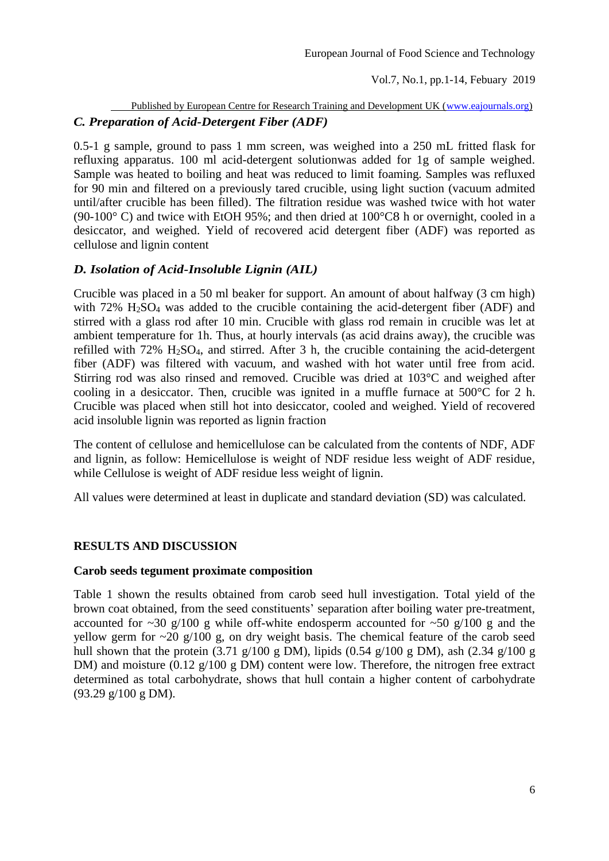# Published by European Centre for Research Training and Development UK [\(www.eajournals.org\)](http://www.eajournals.org/) *C. Preparation of Acid-Detergent Fiber (ADF)*

0.5-1 g sample, ground to pass 1 mm screen, was weighed into a 250 mL fritted flask for refluxing apparatus. 100 ml acid-detergent solutionwas added for 1g of sample weighed. Sample was heated to boiling and heat was reduced to limit foaming. Samples was refluxed for 90 min and filtered on a previously tared crucible, using light suction (vacuum admited until/after crucible has been filled). The filtration residue was washed twice with hot water (90-100° C) and twice with EtOH 95%; and then dried at 100°C8 h or overnight, cooled in a desiccator, and weighed. Yield of recovered acid detergent fiber (ADF) was reported as cellulose and lignin content

### *D. Isolation of Acid-Insoluble Lignin (AIL)*

Crucible was placed in a 50 ml beaker for support. An amount of about halfway (3 cm high) with 72% H<sub>2</sub>SO<sub>4</sub> was added to the crucible containing the acid-detergent fiber (ADF) and stirred with a glass rod after 10 min. Crucible with glass rod remain in crucible was let at ambient temperature for 1h. Thus, at hourly intervals (as acid drains away), the crucible was refilled with 72% H2SO4, and stirred. After 3 h, the crucible containing the acid-detergent fiber (ADF) was filtered with vacuum, and washed with hot water until free from acid. Stirring rod was also rinsed and removed. Crucible was dried at 103°C and weighed after cooling in a desiccator. Then, crucible was ignited in a muffle furnace at 500°C for 2 h. Crucible was placed when still hot into desiccator, cooled and weighed. Yield of recovered acid insoluble lignin was reported as lignin fraction

The content of cellulose and hemicellulose can be calculated from the contents of NDF, ADF and lignin, as follow: Hemicellulose is weight of NDF residue less weight of ADF residue, while Cellulose is weight of ADF residue less weight of lignin.

All values were determined at least in duplicate and standard deviation (SD) was calculated.

#### **RESULTS AND DISCUSSION**

#### **Carob seeds tegument proximate composition**

Table 1 shown the results obtained from carob seed hull investigation. Total yield of the brown coat obtained, from the seed constituents' separation after boiling water pre-treatment, accounted for  $\sim$ 30 g/100 g while off-white endosperm accounted for  $\sim$ 50 g/100 g and the yellow germ for  $\sim$ 20 g/100 g, on dry weight basis. The chemical feature of the carob seed hull shown that the protein (3.71 g/100 g DM), lipids (0.54 g/100 g DM), ash (2.34 g/100 g DM) and moisture (0.12 g/100 g DM) content were low. Therefore, the nitrogen free extract determined as total carbohydrate, shows that hull contain a higher content of carbohydrate (93.29 g/100 g DM).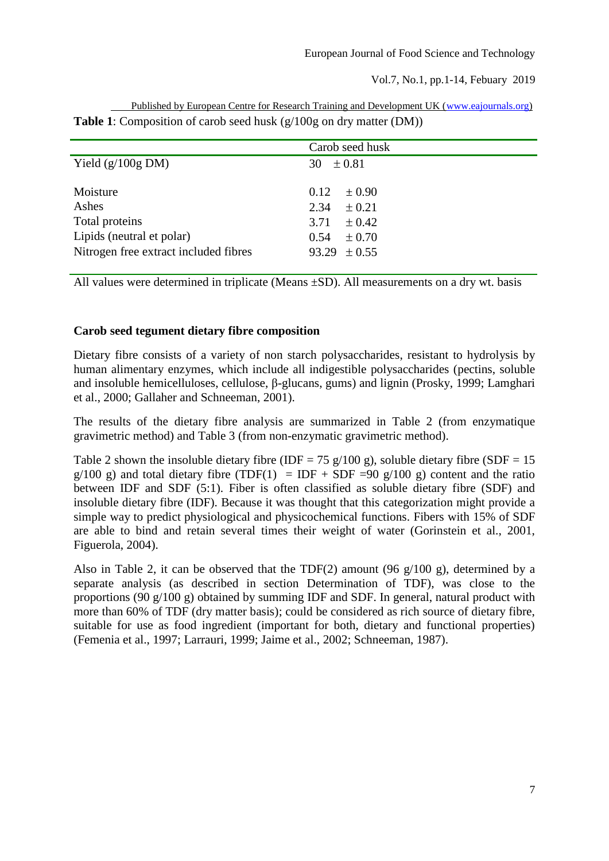|                                       | Carob seed husk    |
|---------------------------------------|--------------------|
| Yield $(g/100g \text{ DM})$           | 30 $\pm 0.81$      |
|                                       |                    |
| Moisture                              | 0.12<br>$\pm 0.90$ |
| Ashes                                 | 2.34<br>$\pm 0.21$ |
| Total proteins                        | 3.71 $\pm$ 0.42    |
| Lipids (neutral et polar)             | $\pm 0.70$<br>0.54 |
| Nitrogen free extract included fibres | $93.29 \pm 0.55$   |
|                                       |                    |

 Published by European Centre for Research Training and Development UK [\(www.eajournals.org\)](http://www.eajournals.org/) **Table 1**: Composition of carob seed husk (g/100g on dry matter (DM))

All values were determined in triplicate (Means ±SD). All measurements on a dry wt. basis

#### **Carob seed tegument dietary fibre composition**

Dietary fibre consists of a variety of non starch polysaccharides, resistant to hydrolysis by human alimentary enzymes, which include all indigestible polysaccharides (pectins, soluble and insoluble hemicelluloses, cellulose, β-glucans, gums) and lignin (Prosky, 1999; Lamghari et al., 2000; Gallaher and Schneeman, 2001).

The results of the dietary fibre analysis are summarized in Table 2 (from enzymatique gravimetric method) and Table 3 (from non-enzymatic gravimetric method).

Table 2 shown the insoluble dietary fibre (IDF = 75 g/100 g), soluble dietary fibre (SDF = 15  $g/100$  g) and total dietary fibre (TDF(1) = IDF + SDF =90 g/100 g) content and the ratio between IDF and SDF (5:1). Fiber is often classified as soluble dietary fibre (SDF) and insoluble dietary fibre (IDF). Because it was thought that this categorization might provide a simple way to predict physiological and physicochemical functions. Fibers with 15% of SDF are able to bind and retain several times their weight of water (Gorinstein et al., 2001, Figuerola, 2004).

Also in Table 2, it can be observed that the TDF(2) amount (96 g/100 g), determined by a separate analysis (as described in section Determination of TDF), was close to the proportions (90 g/100 g) obtained by summing IDF and SDF. In general, natural product with more than 60% of TDF (dry matter basis); could be considered as rich source of dietary fibre, suitable for use as food ingredient (important for both, dietary and functional properties) (Femenia et al., 1997; Larrauri, 1999; Jaime et al., 2002; Schneeman, 1987).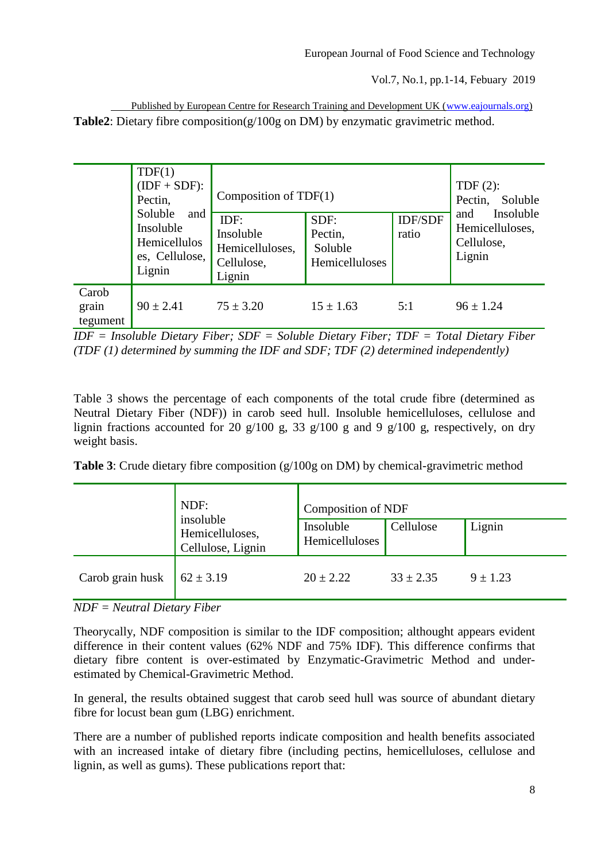| Published by European Centre for Research Training and Development UK (www.eajournals.org)  |
|---------------------------------------------------------------------------------------------|
| <b>Table2</b> : Dietary fibre composition( $g/100g$ on DM) by enzymatic gravimetric method. |

|                            | TDF(1)<br>$(IDF + SDF)$ :<br>Pectin,<br>Soluble<br>and<br>Insoluble<br>Hemicellulos<br>es, Cellulose,<br>Lignin | Composition of $TDF(1)$                                      |                                              |                         | TDF $(2)$ :<br>Pectin,<br>Soluble<br>Insoluble<br>and |
|----------------------------|-----------------------------------------------------------------------------------------------------------------|--------------------------------------------------------------|----------------------------------------------|-------------------------|-------------------------------------------------------|
|                            |                                                                                                                 | IDF:<br>Insoluble<br>Hemicelluloses,<br>Cellulose,<br>Lignin | SDF:<br>Pectin,<br>Soluble<br>Hemicelluloses | <b>IDF/SDF</b><br>ratio | Hemicelluloses,<br>Cellulose,<br>Lignin               |
| Carob<br>grain<br>tegument | $90 \pm 2.41$                                                                                                   | $75 \pm 3.20$                                                | $15 \pm 1.63$                                | 5:1                     | $96 \pm 1.24$                                         |

*IDF = Insoluble Dietary Fiber; SDF = Soluble Dietary Fiber; TDF = Total Dietary Fiber (TDF (1) determined by summing the IDF and SDF; TDF (2) determined independently)*

Table 3 shows the percentage of each components of the total crude fibre (determined as Neutral Dietary Fiber (NDF)) in carob seed hull. Insoluble hemicelluloses, cellulose and lignin fractions accounted for 20 g/100 g, 33 g/100 g and 9 g/100 g, respectively, on dry weight basis.

**Table 3**: Crude dietary fibre composition (g/100g on DM) by chemical-gravimetric method

|                  | NDF:                                              |                             | <b>Composition of NDF</b> |            |  |  |
|------------------|---------------------------------------------------|-----------------------------|---------------------------|------------|--|--|
|                  | insoluble<br>Hemicelluloses,<br>Cellulose, Lignin | Insoluble<br>Hemicelluloses | Cellulose                 | Lignin     |  |  |
| Carob grain husk | $62 \pm 3.19$                                     | $20 \pm 2.22$               | $33 \pm 2.35$             | $9 + 1.23$ |  |  |

#### *NDF = Neutral Dietary Fiber*

Theorycally, NDF composition is similar to the IDF composition; althought appears evident difference in their content values (62% NDF and 75% IDF). This difference confirms that dietary fibre content is over-estimated by Enzymatic-Gravimetric Method and underestimated by Chemical-Gravimetric Method.

In general, the results obtained suggest that carob seed hull was source of abundant dietary fibre for locust bean gum (LBG) enrichment.

There are a number of published reports indicate composition and health benefits associated with an increased intake of dietary fibre (including pectins, hemicelluloses, cellulose and lignin, as well as gums). These publications report that: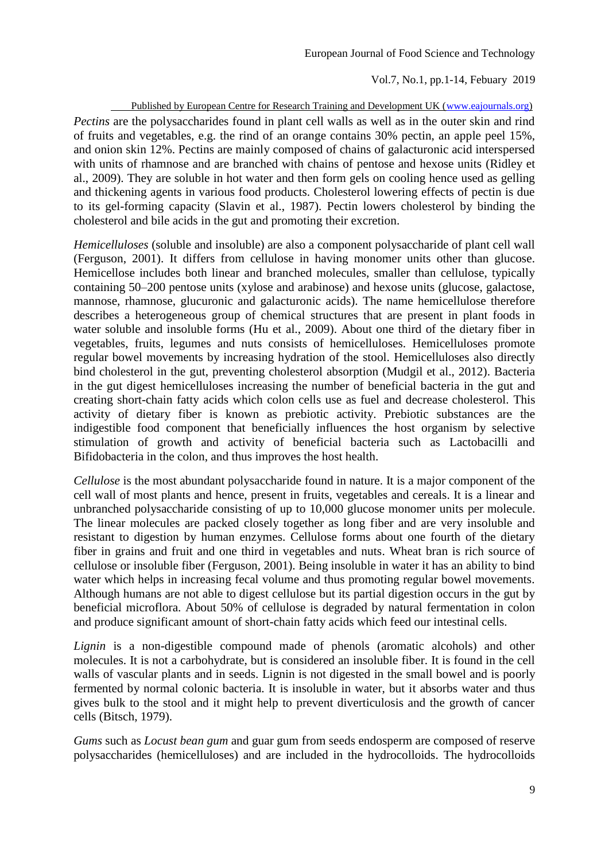Published by European Centre for Research Training and Development UK [\(www.eajournals.org\)](http://www.eajournals.org/) *Pectins* are the polysaccharides found in plant cell walls as well as in the outer skin and rind of fruits and vegetables, e.g. the rind of an orange contains 30% pectin, an apple peel 15%, and onion skin 12%. Pectins are mainly composed of chains of galacturonic acid interspersed with units of rhamnose and are branched with chains of pentose and hexose units (Ridley et al., 2009). They are soluble in hot water and then form gels on cooling hence used as gelling and thickening agents in various food products. Cholesterol lowering effects of pectin is due to its gel-forming capacity (Slavin et al., 1987). Pectin lowers cholesterol by binding the cholesterol and bile acids in the gut and promoting their excretion.

*Hemicelluloses* (soluble and insoluble) are also a component polysaccharide of plant cell wall (Ferguson, 2001). It differs from cellulose in having monomer units other than glucose. Hemicellose includes both linear and branched molecules, smaller than cellulose, typically containing 50–200 pentose units (xylose and arabinose) and hexose units (glucose, galactose, mannose, rhamnose, glucuronic and galacturonic acids). The name hemicellulose therefore describes a heterogeneous group of chemical structures that are present in plant foods in water soluble and insoluble forms (Hu et al., 2009). About one third of the dietary fiber in vegetables, fruits, legumes and nuts consists of hemicelluloses. Hemicelluloses promote regular bowel movements by increasing hydration of the stool. Hemicelluloses also directly bind cholesterol in the gut, preventing cholesterol absorption (Mudgil et al., 2012). Bacteria in the gut digest hemicelluloses increasing the number of beneficial bacteria in the gut and creating short-chain fatty acids which colon cells use as fuel and decrease cholesterol. This activity of dietary fiber is known as prebiotic activity. Prebiotic substances are the indigestible food component that beneficially influences the host organism by selective stimulation of growth and activity of beneficial bacteria such as Lactobacilli and Bifidobacteria in the colon, and thus improves the host health.

*Cellulose* is the most abundant polysaccharide found in nature. It is a major component of the cell wall of most plants and hence, present in fruits, vegetables and cereals. It is a linear and unbranched polysaccharide consisting of up to 10,000 glucose monomer units per molecule. The linear molecules are packed closely together as long fiber and are very insoluble and resistant to digestion by human enzymes. Cellulose forms about one fourth of the dietary fiber in grains and fruit and one third in vegetables and nuts. Wheat bran is rich source of cellulose or insoluble fiber (Ferguson, 2001). Being insoluble in water it has an ability to bind water which helps in increasing fecal volume and thus promoting regular bowel movements. Although humans are not able to digest cellulose but its partial digestion occurs in the gut by beneficial microflora. About 50% of cellulose is degraded by natural fermentation in colon and produce significant amount of short-chain fatty acids which feed our intestinal cells.

*Lignin* is a non-digestible compound made of phenols (aromatic alcohols) and other molecules. It is not a carbohydrate, but is considered an insoluble fiber. It is found in the cell walls of vascular plants and in seeds. Lignin is not digested in the small bowel and is poorly fermented by normal colonic bacteria. It is insoluble in water, but it absorbs water and thus gives bulk to the stool and it might help to prevent diverticulosis and the growth of cancer cells (Bitsch, 1979).

*Gums* such as *Locust bean gum* and guar gum from seeds endosperm are composed of reserve polysaccharides (hemicelluloses) and are included in the hydrocolloids. The hydrocolloids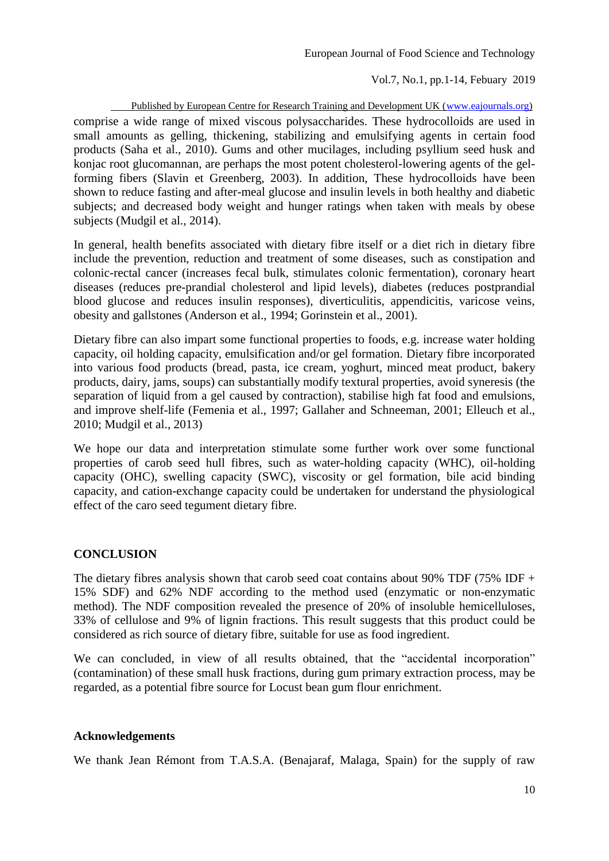Published by European Centre for Research Training and Development UK [\(www.eajournals.org\)](http://www.eajournals.org/) comprise a wide range of mixed viscous polysaccharides. These hydrocolloids are used in small amounts as gelling, thickening, stabilizing and emulsifying agents in certain food products (Saha et al., 2010). Gums and other mucilages, including psyllium seed husk and konjac root glucomannan, are perhaps the most potent cholesterol-lowering agents of the gel-

forming fibers (Slavin et Greenberg, 2003). In addition, These hydrocolloids have been shown to reduce fasting and after-meal glucose and insulin levels in both healthy and diabetic subjects; and decreased body weight and hunger ratings when taken with meals by obese subjects (Mudgil et al., 2014).

In general, health benefits associated with dietary fibre itself or a diet rich in dietary fibre include the prevention, reduction and treatment of some diseases, such as constipation and colonic-rectal cancer (increases fecal bulk, stimulates colonic fermentation), coronary heart diseases (reduces pre-prandial cholesterol and lipid levels), diabetes (reduces postprandial blood glucose and reduces insulin responses), diverticulitis, appendicitis, varicose veins, obesity and gallstones (Anderson et al., 1994; Gorinstein et al., 2001).

Dietary fibre can also impart some functional properties to foods, e.g. increase water holding capacity, oil holding capacity, emulsification and/or gel formation. Dietary fibre incorporated into various food products (bread, pasta, ice cream, yoghurt, minced meat product, bakery products, dairy, jams, soups) can substantially modify textural properties, avoid syneresis (the separation of liquid from a gel caused by contraction), stabilise high fat food and emulsions, and improve shelf-life (Femenia et al., 1997; Gallaher and Schneeman, 2001; Elleuch et al., 2010; Mudgil et al., 2013)

We hope our data and interpretation stimulate some further work over some functional properties of carob seed hull fibres, such as water-holding capacity (WHC), oil-holding capacity (OHC), swelling capacity (SWC), viscosity or gel formation, bile acid binding capacity, and cation-exchange capacity could be undertaken for understand the physiological effect of the caro seed tegument dietary fibre.

# **CONCLUSION**

The dietary fibres analysis shown that carob seed coat contains about 90% TDF (75% IDF  $+$ 15% SDF) and 62% NDF according to the method used (enzymatic or non-enzymatic method). The NDF composition revealed the presence of 20% of insoluble hemicelluloses, 33% of cellulose and 9% of lignin fractions. This result suggests that this product could be considered as rich source of dietary fibre, suitable for use as food ingredient.

We can concluded, in view of all results obtained, that the "accidental incorporation" (contamination) of these small husk fractions, during gum primary extraction process, may be regarded, as a potential fibre source for Locust bean gum flour enrichment.

#### **Acknowledgements**

We thank Jean Rémont from T.A.S.A. (Benajaraf, Malaga, Spain) for the supply of raw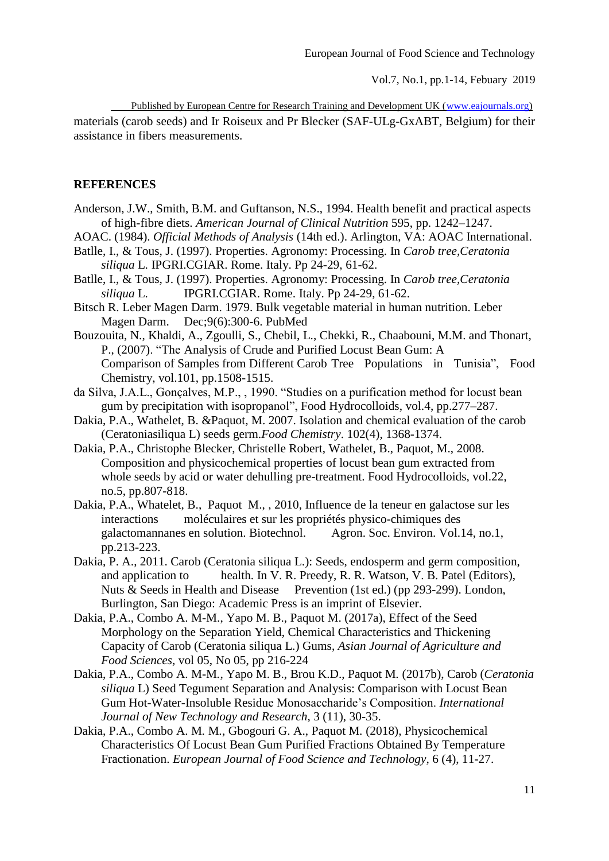Published by European Centre for Research Training and Development UK [\(www.eajournals.org\)](http://www.eajournals.org/)

materials (carob seeds) and Ir Roiseux and Pr Blecker (SAF-ULg-GxABT*,* Belgium) for their assistance in fibers measurements.

#### **REFERENCES**

- Anderson, J.W., Smith, B.M. and Guftanson, N.S., 1994. Health benefit and practical aspects of high-fibre diets. *American Journal of Clinical Nutrition* 595, pp. 1242–1247.
- AOAC. (1984). *Official Methods of Analysis* (14th ed.). Arlington, VA: AOAC International.
- Batlle, I., & Tous, J. (1997). Properties. Agronomy: Processing. In *Carob tree,Ceratonia siliqua* L. IPGRI.CGIAR. Rome. Italy. Pp 24-29, 61-62.
- Batlle, I., & Tous, J. (1997). Properties. Agronomy: Processing. In *Carob tree,Ceratonia siliqua* L. IPGRI.CGIAR. Rome. Italy. Pp 24-29, 61-62.
- Bitsch R. Leber Magen Darm. 1979. Bulk vegetable material in human nutrition. Leber Magen Darm. Dec;9(6):300-6. PubMed
- Bouzouita, N., Khaldi, A., Zgoulli, S., Chebil, L., Chekki, R., Chaabouni, M.M. and Thonart, P., (2007). "The Analysis of Crude and Purified Locust Bean Gum: A Comparison of Samples from Different Carob Tree Populations in Tunisia", Food Chemistry, vol.101, pp.1508-1515.
- da Silva, J.A.L., Gonçalves, M.P., , 1990. "Studies on a purification method for locust bean gum by precipitation with isopropanol", Food Hydrocolloids, vol.4, pp.277–287.
- Dakia, P.A., Wathelet, B. &Paquot, M. 2007. Isolation and chemical evaluation of the carob (Ceratoniasiliqua L) seeds germ.*Food Chemistry*. 102(4), 1368-1374.
- Dakia, P.A., Christophe Blecker, Christelle Robert, Wathelet, B., Paquot, M., 2008. Composition and physicochemical properties of locust bean gum extracted from whole seeds by acid or water dehulling pre-treatment. Food Hydrocolloids, vol.22, no.5, pp.807-818.
- Dakia, P.A., Whatelet, B., Paquot M., , 2010, Influence de la teneur en galactose sur les interactions moléculaires et sur les propriétés physico-chimiques des galactomannanes en solution. Biotechnol. Agron. Soc. Environ. Vol.14, no.1, pp.213-223.
- Dakia, P. A., 2011. Carob (Ceratonia siliqua L.): Seeds, endosperm and germ composition, and application to health. In V. R. Preedy, R. R. Watson, V. B. Patel (Editors), Nuts & Seeds in Health and Disease Prevention (1st ed.) (pp 293-299). London, Burlington, San Diego: Academic Press is an imprint of Elsevier.
- Dakia, P.A., Combo A. M-M., Yapo M. B., Paquot M. (2017a), Effect of the Seed Morphology on the Separation Yield, Chemical Characteristics and Thickening Capacity of Carob (Ceratonia siliqua L.) Gums, *Asian Journal of Agriculture and Food Sciences*, vol 05, No 05, pp 216-224
- Dakia, P.A., Combo A. M*-*M*.*, Yapo M. B., Brou K.D., Paquot M*.* (2017b), Carob (*Ceratonia siliqua* L) Seed Tegument Separation and Analysis: Comparison with Locust Bean Gum Hot-Water-Insoluble Residue Monosaccharide's Composition. *International Journal of New Technology and Research*, 3 (11), 30-35.
- Dakia, P.A., Combo A. M*.* M*.*, Gbogouri G. A., Paquot M*.* (2018), Physicochemical Characteristics Of Locust Bean Gum Purified Fractions Obtained By Temperature Fractionation. *European Journal of Food Science and Technology*, 6 (4), 11-27.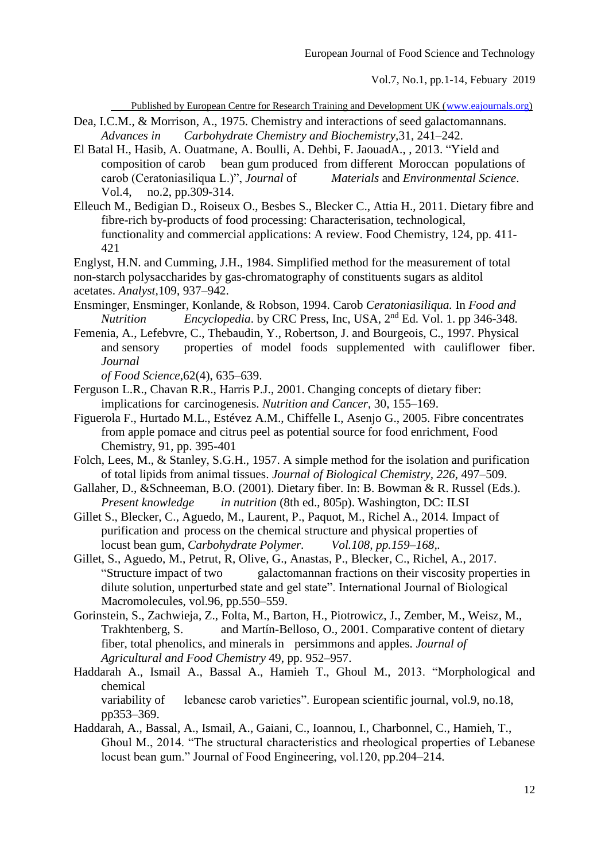Published by European Centre for Research Training and Development UK [\(www.eajournals.org\)](http://www.eajournals.org/)

- Dea, I.C.M., & Morrison, A., 1975. Chemistry and interactions of seed galactomannans. *Advances in Carbohydrate Chemistry and Biochemistry,*31, 241–242.
- El Batal H., Hasib, A. Ouatmane, A. Boulli, A. Dehbi, F. JaouadA., , 2013. "Yield and composition of carob bean gum produced from different Moroccan populations of carob (Ceratoniasiliqua L.)", Journal of *Materials* and *Environmental Science*. carob (Ceratoniasiliqua L.)", *Journal* of Vol.4, no.2, pp.309-314.
- Elleuch M., Bedigian D., Roiseux O., Besbes S., Blecker C., Attia H., 2011. Dietary fibre and fibre-rich by-products of food processing: Characterisation, technological, functionality and commercial applications: A review. Food Chemistry, 124, pp. 411- 421
- Englyst, H.N. and Cumming, J.H., 1984. Simplified method for the measurement of total non-starch polysaccharides by gas-chromatography of constituents sugars as alditol acetates. *Analyst,*109, 937–942.
- Ensminger, Ensminger, Konlande, & Robson, 1994. Carob *Ceratoniasiliqua.* In *Food and Nutrition Encyclopedia*. by CRC Press, Inc, USA, 2nd Ed. Vol. 1. pp 346-348.
- [Femenia,](http://www.sciencedirect.com/science?_ob=ArticleURL&_udi=B6T6R-4DVW2C2-1&_user=532081&_coverDate=07%2F31%2F2005&_alid=654746576&_rdoc=2&_fmt=full&_orig=search&_cdi=5037&_sort=d&_docanchor=&view=c&_ct=2&_acct=C000026700&_version=1&_urlVersion=0&_userid=532081&md5=8d75043b60137f18f4ebc85db6b0d0b6#bbib10#bbib10) A., Lefebvre, C., Thebaudin, Y., Robertson, J. and Bourgeois, C., 1997. Physical and sensory properties of model foods supplemented with cauliflower fiber. *Journal*

*of Food Science,*62(4), 635–639.

- Ferguson L.R., Chavan R.R., Harris P.J., 2001. Changing concepts of dietary fiber: implications for carcinogenesis. *Nutrition and Cancer*, 30, 155–169.
- Figuerola F., Hurtado M.L., Estévez A.M., Chiffelle I., Asenjo G., 2005. Fibre concentrates from apple pomace and citrus peel as potential source for food enrichment, Food Chemistry, 91, pp. 395-401
- Folch, Lees, M., & Stanley, S.G.H., 1957. A simple method for the isolation and purification of total lipids from animal tissues. *Journal of Biological Chemistry, 226*, 497–509.
- Gallaher, D., &Schneeman, B.O. (2001). Dietary fiber. In: B. Bowman & R. Russel (Eds.). *Present knowledge in nutrition* (8th ed., 805p). Washington, DC: ILSI
- Gillet S., Blecker, C., Aguedo, M., Laurent, P., Paquot, M., Richel A., 2014*.* Impact of purification and process on the chemical structure and physical properties of locust bean gum, *Carbohydrate Polymer. Vol.108, pp.159–168,.*
- Gillet, S., Aguedo, M., Petrut, R, Olive, G., Anastas, P., Blecker, C., Richel, A., 2017. "Structure impact of two galactomannan fractions on their viscosity properties in dilute solution, unperturbed state and gel state". International Journal of Biological Macromolecules, vol.96, pp.550–559.
- Gorinstein, S., Zachwieja, Z., Folta, M., Barton, H., Piotrowicz, J., Zember, M., Weisz, M., Trakhtenberg, S. and Martín-Belloso, O., 2001. Comparative content of dietary fiber, total phenolics, and minerals in persimmons and apples. *Journal of Agricultural and Food Chemistry* 49, pp. 952–957.
- Haddarah A., Ismail A., Bassal A., Hamieh T., Ghoul M., 2013. "Morphological and chemical

variability of lebanese carob varieties". European scientific journal, vol.9, no.18, pp353–369.

Haddarah, A., Bassal, A., Ismail, A., Gaiani, C., Ioannou, I., Charbonnel, C., Hamieh, T., Ghoul M., 2014. "The structural characteristics and rheological properties of Lebanese locust bean gum." Journal of Food Engineering, vol.120, pp.204–214.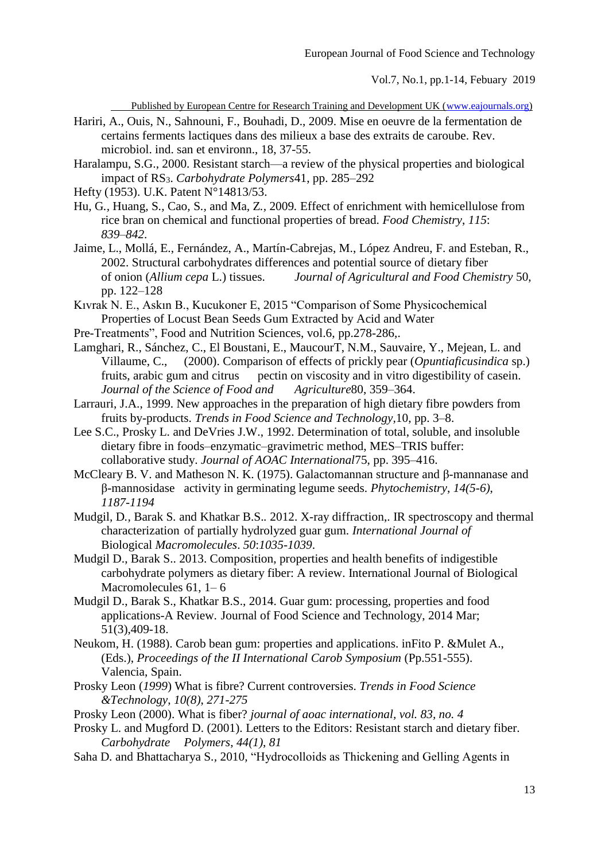Published by European Centre for Research Training and Development UK [\(www.eajournals.org\)](http://www.eajournals.org/)

- Hariri, A., Ouis, N., Sahnouni, F., Bouhadi, D., 2009. Mise en oeuvre de la fermentation de certains ferments lactiques dans des milieux a base des extraits de caroube. Rev. microbiol. ind. san et environn., 18, 37-55.
- Haralampu, S.G., 2000. Resistant starch—a review of the physical properties and biological impact of RS3. *Carbohydrate Polymers*41, pp. 285–292
- Hefty (1953). U.K. Patent N°14813/53.
- Hu*,* G*.,* Huang*,* S*.,* Cao*,* S*.,* and Ma*,* Z*.,* 2009*.* Effect of enrichment with hemicellulose from rice bran on chemical and functional properties of bread. *Food Chemistry*, *115*: *839*–*842*.
- Jaime, L., Mollá, E., Fernández, A., Martín-Cabrejas, M., López Andreu, F. and Esteban, R., 2002. Structural carbohydrates differences and potential source of dietary fiber of onion (*Allium cepa* L.) tissues. *Journal of Agricultural and Food Chemistry* 50, pp. 122–128
- Kıvrak N. E., Askın B., Kucukoner E, 2015 "Comparison of Some Physicochemical Properties of Locust Bean Seeds Gum Extracted by Acid and Water
- Pre-Treatments", Food and Nutrition Sciences, vol.6, pp.278-286,.
- [Lamghari,](http://www.sciencedirect.com/science?_ob=ArticleURL&_udi=B6T6R-4DVW2C2-1&_user=532081&_coverDate=07%2F31%2F2005&_alid=654746576&_rdoc=2&_fmt=full&_orig=search&_cdi=5037&_sort=d&_docanchor=&view=c&_ct=2&_acct=C000026700&_version=1&_urlVersion=0&_userid=532081&md5=8d75043b60137f18f4ebc85db6b0d0b6#bbib21#bbib21) R., Sánchez, C., El Boustani, E., MaucourT, N.M., Sauvaire, Y., Mejean, L. and Villaume, C., (2000). Comparison of effects of prickly pear (*Opuntiaficusindica* sp.) fruits, arabic gum and citrus pectin on viscosity and in vitro digestibility of casein.<br>Journal of the Science of Food and Agriculture80, 359–364. *Journal of the Science of Food and*
- [Larrauri,](http://www.sciencedirect.com/science?_ob=ArticleURL&_udi=B6T6R-4DVW2C2-1&_user=532081&_coverDate=07%2F31%2F2005&_alid=654746576&_rdoc=2&_fmt=full&_orig=search&_cdi=5037&_sort=d&_docanchor=&view=c&_ct=2&_acct=C000026700&_version=1&_urlVersion=0&_userid=532081&md5=8d75043b60137f18f4ebc85db6b0d0b6#bbib24#bbib24) J.A., 1999. New approaches in the preparation of high dietary fibre powders from fruits by-products. *Trends in Food Science and Technology,*10, pp. 3–8.
- Lee S.C., Prosky L. and DeVries J.W., 1992. Determination of total, soluble, and insoluble dietary fibre in foods–enzymatic–gravimetric method, MES–TRIS buffer: collaborative study. *Journal of AOAC International*75, pp. 395–416.
- McCleary B. V. and Matheson N. K. (1975). Galactomannan structure and β-mannanase and β-mannosidase activity in germinating legume seeds. *Phytochemistry*, *14(5-6)*, *1187-1194*
- Mudgil*,* D*.,* Barak S*.* and Khatkar B.S.*.* 2012. X-ray diffraction,. IR spectroscopy and thermal characterization of partially hydrolyzed guar gum. *International Journal of* Biological *Macromolecules*. *50*:*1035*-*1039*.
- Mudgil D., Barak S.. 2013. Composition, properties and health benefits of indigestible carbohydrate polymers as dietary fiber: A review. International Journal of Biological Macromolecules 61, 1– 6
- Mudgil D., Barak S., Khatkar B.S., 2014. Guar gum: processing, properties and food applications-A Review. Journal of Food Science and Technology, 2014 Mar; 51(3),409-18.
- Neukom, H. (1988). Carob bean gum: properties and applications. inFito P. &Mulet A., (Eds.), *Proceedings of the II International Carob Symposium* (Pp.551-555). Valencia, Spain.
- Prosky Leon (*1999*) What is fibre? Current controversies. *Trends in Food Science &Technology*, *10(8)*, *271-275*
- Prosky Leon (2000). What is fiber? *journal of aoac international, vol. 83, no. 4*
- Prosky L. and Mugford D. (2001). Letters to the Editors: Resistant starch and dietary fiber. *Carbohydrate Polymers*, *44(1)*, *81*
- Saha D*.* and Bhattacharya S*.,* 2010*,* "Hydrocolloids as Thickening and Gelling Agents in